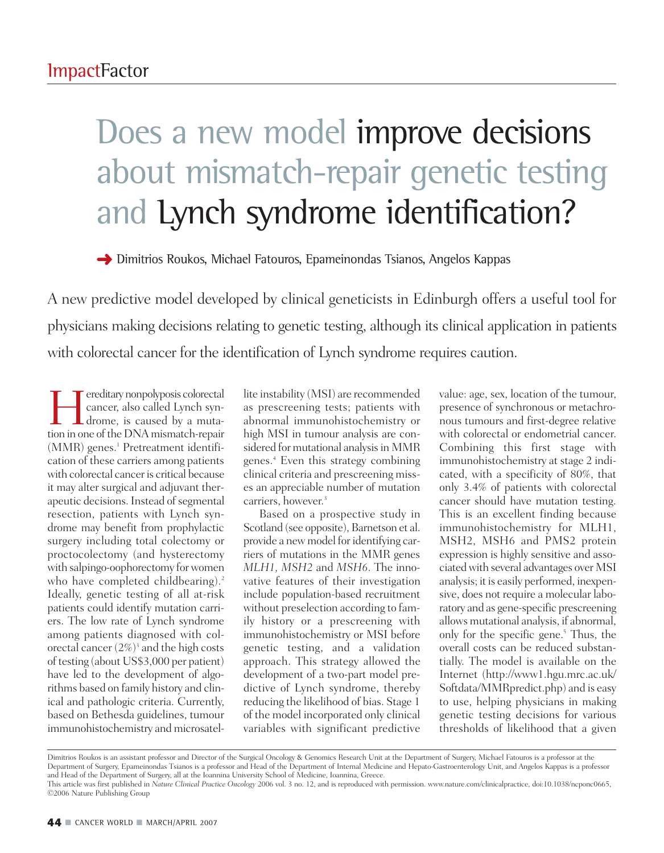## Does a new model improve decisions about mismatch-repair genetic testing and Lynch syndrome identification?

**→** Dimitrios Roukos, Michael Fatouros, Epameinondas Tsianos, Angelos Kappas

A new predictive model developed by clinical geneticists in Edinburgh offers a useful tool for physicians making decisions relating to genetic testing, although its clinical application in patients with colorectal cancer for the identification of Lynch syndrome requires caution.

Fereditary nonpolyposis colorectal<br>cancer, also called Lynch syn-<br>drome, is caused by a muta-<br>tion in one of the DNA mismatch-repair cancer, also called Lynch syn-**L** drome, is caused by a mutation in one of the DNA mismatch-repair  $(MMR)$  genes.<sup>1</sup> Pretreatment identification of these carriers among patients with colorectal cancer is critical because it may alter surgical and adjuvant therapeutic decisions. Instead of segmental resection, patients with Lynch syndrome may benefit from prophylactic surgery including total colectomy or proctocolectomy (and hysterectomy with salpingo-oophorectomy for women who have completed childbearing).<sup>2</sup> Ideally, genetic testing of all at-risk patients could identify mutation carriers. The low rate of Lynch syndrome among patients diagnosed with colorectal cancer  $(2\%)^3$  and the high costs of testing (about US\$3,000 per patient) have led to the development of algorithms based on family history and clinical and pathologic criteria. Currently, based on Bethesda guidelines, tumour immunohistochemistry and microsatel-

lite instability (MSI) are recommended as prescreening tests; patients with abnormal immunohistochemistry or high MSI in tumour analysis are considered for mutational analysis in MMR genes.4 Even this strategy combining clinical criteria and prescreening misses an appreciable number of mutation carriers, however. 3

Based on a prospective study in Scotland (see opposite), Barnetson et al. provide a new model for identifying carriers of mutations in the MMR genes *MLH1, MSH2* and *MSH6*. The innovative features of their investigation include population-based recruitment without preselection according to family history or a prescreening with immunohistochemistry or MSI before genetic testing, and a validation approach. This strategy allowed the development of a two-part model predictive of Lynch syndrome, thereby reducing the likelihood of bias. Stage 1 of the model incorporated only clinical variables with significant predictive

value: age, sex, location of the tumour, presence of synchronous or metachronous tumours and first-degree relative with colorectal or endometrial cancer. Combining this first stage with immunohistochemistry at stage 2 indicated, with a specificity of 80%, that only 3.4% of patients with colorectal cancer should have mutation testing. This is an excellent finding because immunohistochemistry for MLH1, MSH2, MSH6 and PMS2 protein expression is highly sensitive and associated with several advantages over MSI analysis; it is easily performed, inexpensive, does not require a molecular laboratory and as gene-specific prescreening allows mutational analysis, if abnormal, only for the specific gene.<sup>5</sup> Thus, the overall costs can be reduced substantially. The model is available on the Internet (http://www1.hgu.mrc.ac.uk/ Softdata/MMRpredict.php) and is easy to use, helping physicians in making genetic testing decisions for various thresholds of likelihood that a given

Dimitrios Roukos is an assistant professor and Director of the Surgical Oncology & Genomics Research Unit at the Department of Surgery, Michael Fatouros is a professor at the Department of Surgery, Epameinondas Tsianos is a professor and Head of the Department of Internal Medicine and Hepato-Gastroenterology Unit, and Angelos Kappas is a professor and Head of the Department of Surgery, all at the Ioannina University School of Medicine, Ioannina, Greece.

This article was first published in *Nature Clinical Practice Oncology* 2006 vol. 3 no. 12, and is reproduced with permission. www.nature.com/clinicalpractice, doi:10.1038/ncponc0665, ©2006 Nature Publishing Group